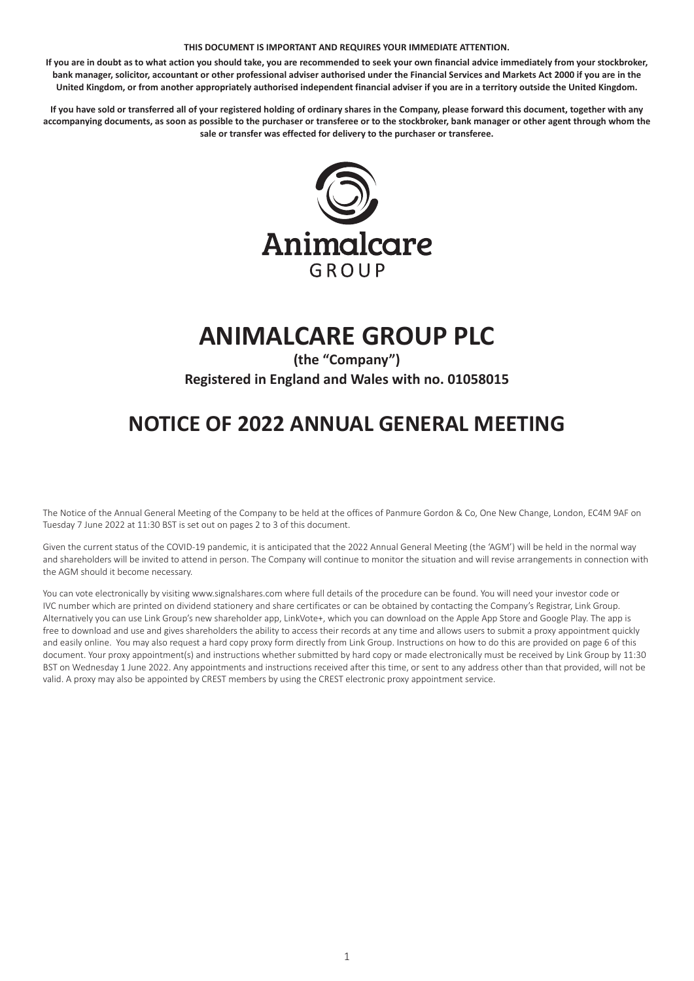### **THIS DOCUMENT IS IMPORTANT AND REQUIRES YOUR IMMEDIATE ATTENTION.**

**If you are in doubt as to what action you should take, you are recommended to seek your own financial advice immediately from your stockbroker, bank manager, solicitor, accountant or other professional adviser authorised under the Financial Services and Markets Act 2000 if you are in the United Kingdom, or from another appropriately authorised independent financial adviser if you are in a territory outside the United Kingdom.**

**If you have sold or transferred all of your registered holding of ordinary shares in the Company, please forward this document, together with any accompanying documents, as soon as possible to the purchaser or transferee or to the stockbroker, bank manager or other agent through whom the sale or transfer was effected for delivery to the purchaser or transferee.**



# **ANIMALCARE GROUP PLC**

**(the "Company") Registered in England and Wales with no. 01058015**

## **NOTICE OF 2022 ANNUAL GENERAL MEETING**

The Notice of the Annual General Meeting of the Company to be held at the offices of Panmure Gordon & Co, One New Change, London, EC4M 9AF on Tuesday 7 June 2022 at 11:30 BST is set out on pages 2 to 3 of this document.

Given the current status of the COVID-19 pandemic, it is anticipated that the 2022 Annual General Meeting (the 'AGM') will be held in the normal way and shareholders will be invited to attend in person. The Company will continue to monitor the situation and will revise arrangements in connection with the AGM should it become necessary.

You can vote electronically by visiting www.signalshares.com where full details of the procedure can be found. You will need your investor code or IVC number which are printed on dividend stationery and share certificates or can be obtained by contacting the Company's Registrar, Link Group. Alternatively you can use Link Group's new shareholder app, LinkVote+, which you can download on the Apple App Store and Google Play. The app is free to download and use and gives shareholders the ability to access their records at any time and allows users to submit a proxy appointment quickly and easily online. You may also request a hard copy proxy form directly from Link Group. Instructions on how to do this are provided on page 6 of this document. Your proxy appointment(s) and instructions whether submitted by hard copy or made electronically must be received by Link Group by 11:30 BST on Wednesday 1 June 2022. Any appointments and instructions received after this time, or sent to any address other than that provided, will not be valid. A proxy may also be appointed by CREST members by using the CREST electronic proxy appointment service.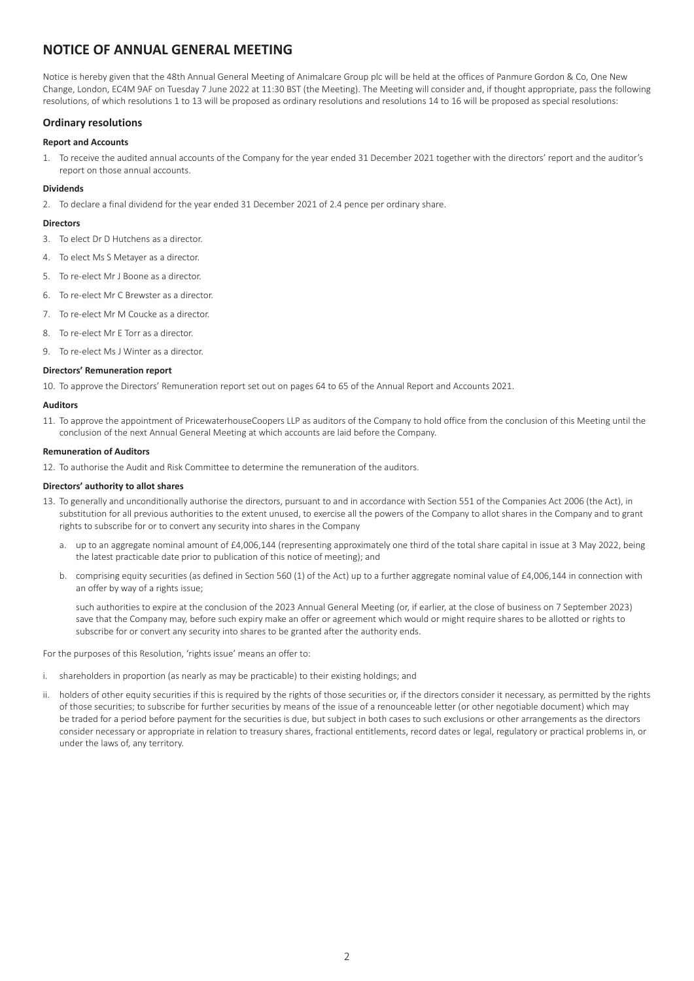### **NOTICE OF ANNUAL GENERAL MEETING**

Notice is hereby given that the 48th Annual General Meeting of Animalcare Group plc will be held at the offices of Panmure Gordon & Co, One New Change, London, EC4M 9AF on Tuesday 7 June 2022 at 11:30 BST (the Meeting). The Meeting will consider and, if thought appropriate, pass the following resolutions, of which resolutions 1 to 13 will be proposed as ordinary resolutions and resolutions 14 to 16 will be proposed as special resolutions:

### **Ordinary resolutions**

### **Report and Accounts**

1. To receive the audited annual accounts of the Company for the year ended 31 December 2021 together with the directors' report and the auditor's report on those annual accounts.

### **Dividends**

2. To declare a final dividend for the year ended 31 December 2021 of 2.4 pence per ordinary share.

### **Directors**

- 3. To elect Dr D Hutchens as a director.
- 4. To elect Ms S Metayer as a director.
- 5. To re-elect Mr J Boone as a director.
- 6. To re-elect Mr C Brewster as a director.
- 7. To re-elect Mr M Coucke as a director.
- 8. To re-elect Mr E Torr as a director.
- 9. To re-elect Ms J Winter as a director.

### **Directors' Remuneration report**

10. To approve the Directors' Remuneration report set out on pages 64 to 65 of the Annual Report and Accounts 2021.

### **Auditors**

11. To approve the appointment of PricewaterhouseCoopers LLP as auditors of the Company to hold office from the conclusion of this Meeting until the conclusion of the next Annual General Meeting at which accounts are laid before the Company.

### **Remuneration of Auditors**

12. To authorise the Audit and Risk Committee to determine the remuneration of the auditors.

### **Directors' authority to allot shares**

- 13. To generally and unconditionally authorise the directors, pursuant to and in accordance with Section 551 of the Companies Act 2006 (the Act), in substitution for all previous authorities to the extent unused, to exercise all the powers of the Company to allot shares in the Company and to grant rights to subscribe for or to convert any security into shares in the Company
	- a. up to an aggregate nominal amount of £4,006,144 (representing approximately one third of the total share capital in issue at 3 May 2022, being the latest practicable date prior to publication of this notice of meeting); and
	- b. comprising equity securities (as defined in Section 560 (1) of the Act) up to a further aggregate nominal value of £4,006,144 in connection with an offer by way of a rights issue;

such authorities to expire at the conclusion of the 2023 Annual General Meeting (or, if earlier, at the close of business on 7 September 2023) save that the Company may, before such expiry make an offer or agreement which would or might require shares to be allotted or rights to subscribe for or convert any security into shares to be granted after the authority ends.

For the purposes of this Resolution, 'rights issue' means an offer to:

- i. shareholders in proportion (as nearly as may be practicable) to their existing holdings; and
- ii. holders of other equity securities if this is required by the rights of those securities or, if the directors consider it necessary, as permitted by the rights of those securities; to subscribe for further securities by means of the issue of a renounceable letter (or other negotiable document) which may be traded for a period before payment for the securities is due, but subject in both cases to such exclusions or other arrangements as the directors consider necessary or appropriate in relation to treasury shares, fractional entitlements, record dates or legal, regulatory or practical problems in, or under the laws of, any territory.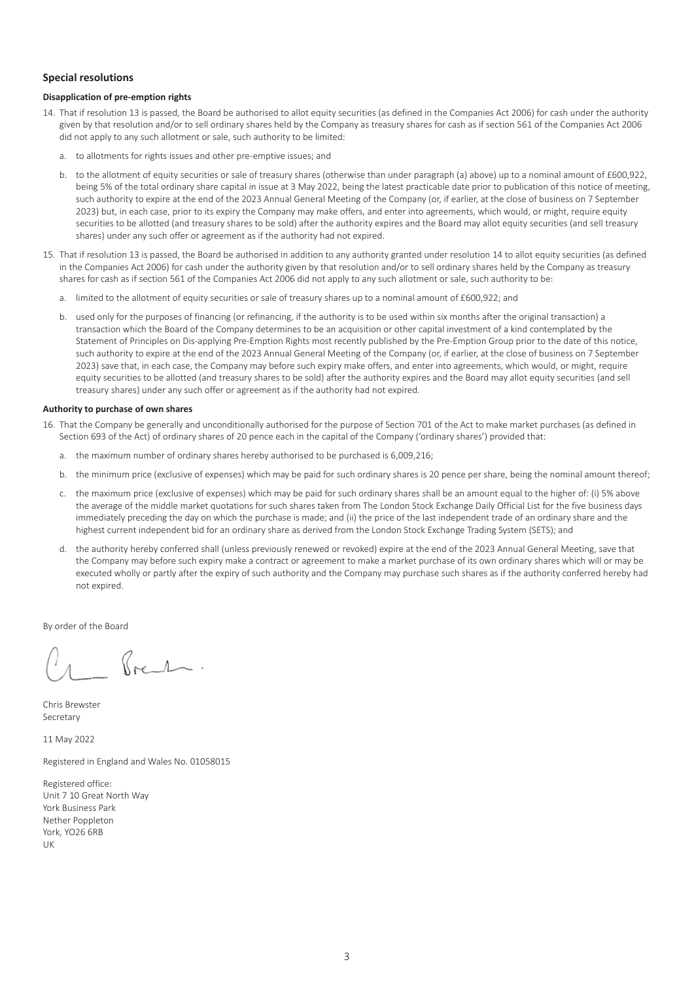### **Special resolutions**

### **Disapplication of pre-emption rights**

- 14. That if resolution 13 is passed, the Board be authorised to allot equity securities (as defined in the Companies Act 2006) for cash under the authority given by that resolution and/or to sell ordinary shares held by the Company as treasury shares for cash as if section 561 of the Companies Act 2006 did not apply to any such allotment or sale, such authority to be limited:
	- a. to allotments for rights issues and other pre-emptive issues; and
	- b. to the allotment of equity securities or sale of treasury shares (otherwise than under paragraph (a) above) up to a nominal amount of £600,922, being 5% of the total ordinary share capital in issue at 3 May 2022, being the latest practicable date prior to publication of this notice of meeting, such authority to expire at the end of the 2023 Annual General Meeting of the Company (or, if earlier, at the close of business on 7 September 2023) but, in each case, prior to its expiry the Company may make offers, and enter into agreements, which would, or might, require equity securities to be allotted (and treasury shares to be sold) after the authority expires and the Board may allot equity securities (and sell treasury shares) under any such offer or agreement as if the authority had not expired.
- 15. That if resolution 13 is passed, the Board be authorised in addition to any authority granted under resolution 14 to allot equity securities (as defined in the Companies Act 2006) for cash under the authority given by that resolution and/or to sell ordinary shares held by the Company as treasury shares for cash as if section 561 of the Companies Act 2006 did not apply to any such allotment or sale, such authority to be:
	- a. limited to the allotment of equity securities or sale of treasury shares up to a nominal amount of £600,922; and
	- b. used only for the purposes of financing (or refinancing, if the authority is to be used within six months after the original transaction) a transaction which the Board of the Company determines to be an acquisition or other capital investment of a kind contemplated by the Statement of Principles on Dis-applying Pre-Emption Rights most recently published by the Pre-Emption Group prior to the date of this notice, such authority to expire at the end of the 2023 Annual General Meeting of the Company (or, if earlier, at the close of business on 7 September 2023) save that, in each case, the Company may before such expiry make offers, and enter into agreements, which would, or might, require equity securities to be allotted (and treasury shares to be sold) after the authority expires and the Board may allot equity securities (and sell treasury shares) under any such offer or agreement as if the authority had not expired.

### **Authority to purchase of own shares**

- 16. That the Company be generally and unconditionally authorised for the purpose of Section 701 of the Act to make market purchases (as defined in Section 693 of the Act) of ordinary shares of 20 pence each in the capital of the Company ('ordinary shares') provided that:
	- a. the maximum number of ordinary shares hereby authorised to be purchased is 6,009,216;
	- b. the minimum price (exclusive of expenses) which may be paid for such ordinary shares is 20 pence per share, being the nominal amount thereof;
	- c. the maximum price (exclusive of expenses) which may be paid for such ordinary shares shall be an amount equal to the higher of: (i) 5% above the average of the middle market quotations for such shares taken from The London Stock Exchange Daily Official List for the five business days immediately preceding the day on which the purchase is made; and (ii) the price of the last independent trade of an ordinary share and the highest current independent bid for an ordinary share as derived from the London Stock Exchange Trading System (SETS); and
	- d. the authority hereby conferred shall (unless previously renewed or revoked) expire at the end of the 2023 Annual General Meeting, save that the Company may before such expiry make a contract or agreement to make a market purchase of its own ordinary shares which will or may be executed wholly or partly after the expiry of such authority and the Company may purchase such shares as if the authority conferred hereby had not expired.

By order of the Board

Roch.

Chris Brewster Secretary

11 May 2022

Registered in England and Wales No. 01058015

Registered office: Unit 7 10 Great North Way York Business Park Nether Poppleton York, YO26 6RB UK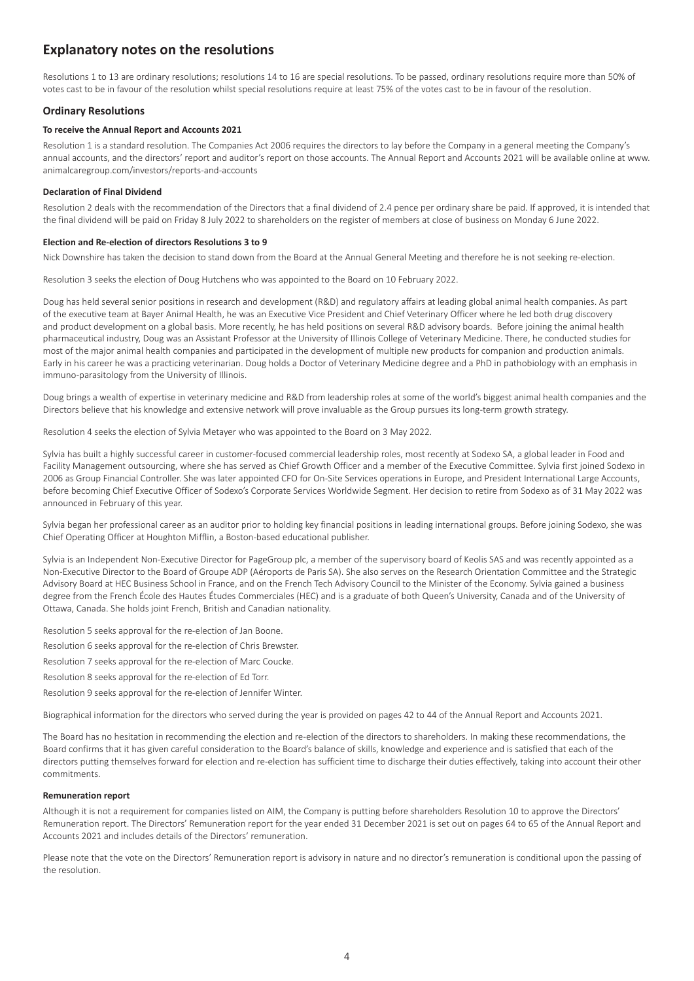### **Explanatory notes on the resolutions**

Resolutions 1 to 13 are ordinary resolutions; resolutions 14 to 16 are special resolutions. To be passed, ordinary resolutions require more than 50% of votes cast to be in favour of the resolution whilst special resolutions require at least 75% of the votes cast to be in favour of the resolution.

### **Ordinary Resolutions**

### **To receive the Annual Report and Accounts 2021**

Resolution 1 is a standard resolution. The Companies Act 2006 requires the directors to lay before the Company in a general meeting the Company's annual accounts, and the directors' report and auditor's report on those accounts. The Annual Report and Accounts 2021 will be available online at www. animalcaregroup.com/investors/reports-and-accounts

### **Declaration of Final Dividend**

Resolution 2 deals with the recommendation of the Directors that a final dividend of 2.4 pence per ordinary share be paid. If approved, it is intended that the final dividend will be paid on Friday 8 July 2022 to shareholders on the register of members at close of business on Monday 6 June 2022.

### **Election and Re-election of directors Resolutions 3 to 9**

Nick Downshire has taken the decision to stand down from the Board at the Annual General Meeting and therefore he is not seeking re-election.

Resolution 3 seeks the election of Doug Hutchens who was appointed to the Board on 10 February 2022.

Doug has held several senior positions in research and development (R&D) and regulatory affairs at leading global animal health companies. As part of the executive team at Bayer Animal Health, he was an Executive Vice President and Chief Veterinary Officer where he led both drug discovery and product development on a global basis. More recently, he has held positions on several R&D advisory boards. Before joining the animal health pharmaceutical industry, Doug was an Assistant Professor at the University of Illinois College of Veterinary Medicine. There, he conducted studies for most of the major animal health companies and participated in the development of multiple new products for companion and production animals. Early in his career he was a practicing veterinarian. Doug holds a Doctor of Veterinary Medicine degree and a PhD in pathobiology with an emphasis in immuno-parasitology from the University of Illinois.

Doug brings a wealth of expertise in veterinary medicine and R&D from leadership roles at some of the world's biggest animal health companies and the Directors believe that his knowledge and extensive network will prove invaluable as the Group pursues its long-term growth strategy.

Resolution 4 seeks the election of Sylvia Metayer who was appointed to the Board on 3 May 2022.

Sylvia has built a highly successful career in customer-focused commercial leadership roles, most recently at Sodexo SA, a global leader in Food and Facility Management outsourcing, where she has served as Chief Growth Officer and a member of the Executive Committee. Sylvia first joined Sodexo in 2006 as Group Financial Controller. She was later appointed CFO for On-Site Services operations in Europe, and President International Large Accounts, before becoming Chief Executive Officer of Sodexo's Corporate Services Worldwide Segment. Her decision to retire from Sodexo as of 31 May 2022 was announced in February of this year.

Sylvia began her professional career as an auditor prior to holding key financial positions in leading international groups. Before joining Sodexo, she was Chief Operating Officer at Houghton Mifflin, a Boston-based educational publisher.

Sylvia is an Independent Non-Executive Director for PageGroup plc, a member of the supervisory board of Keolis SAS and was recently appointed as a Non-Executive Director to the Board of Groupe ADP (Aéroports de Paris SA). She also serves on the Research Orientation Committee and the Strategic Advisory Board at HEC Business School in France, and on the French Tech Advisory Council to the Minister of the Economy. Sylvia gained a business degree from the French École des Hautes Études Commerciales (HEC) and is a graduate of both Queen's University, Canada and of the University of Ottawa, Canada. She holds joint French, British and Canadian nationality.

- Resolution 5 seeks approval for the re-election of Jan Boone.
- Resolution 6 seeks approval for the re-election of Chris Brewster.
- Resolution 7 seeks approval for the re-election of Marc Coucke.
- Resolution 8 seeks approval for the re-election of Ed Torr.
- Resolution 9 seeks approval for the re-election of Jennifer Winter.

Biographical information for the directors who served during the year is provided on pages 42 to 44 of the Annual Report and Accounts 2021.

The Board has no hesitation in recommending the election and re-election of the directors to shareholders. In making these recommendations, the Board confirms that it has given careful consideration to the Board's balance of skills, knowledge and experience and is satisfied that each of the directors putting themselves forward for election and re-election has sufficient time to discharge their duties effectively, taking into account their other commitments.

### **Remuneration report**

Although it is not a requirement for companies listed on AIM, the Company is putting before shareholders Resolution 10 to approve the Directors' Remuneration report. The Directors' Remuneration report for the year ended 31 December 2021 is set out on pages 64 to 65 of the Annual Report and Accounts 2021 and includes details of the Directors' remuneration.

Please note that the vote on the Directors' Remuneration report is advisory in nature and no director's remuneration is conditional upon the passing of the resolution.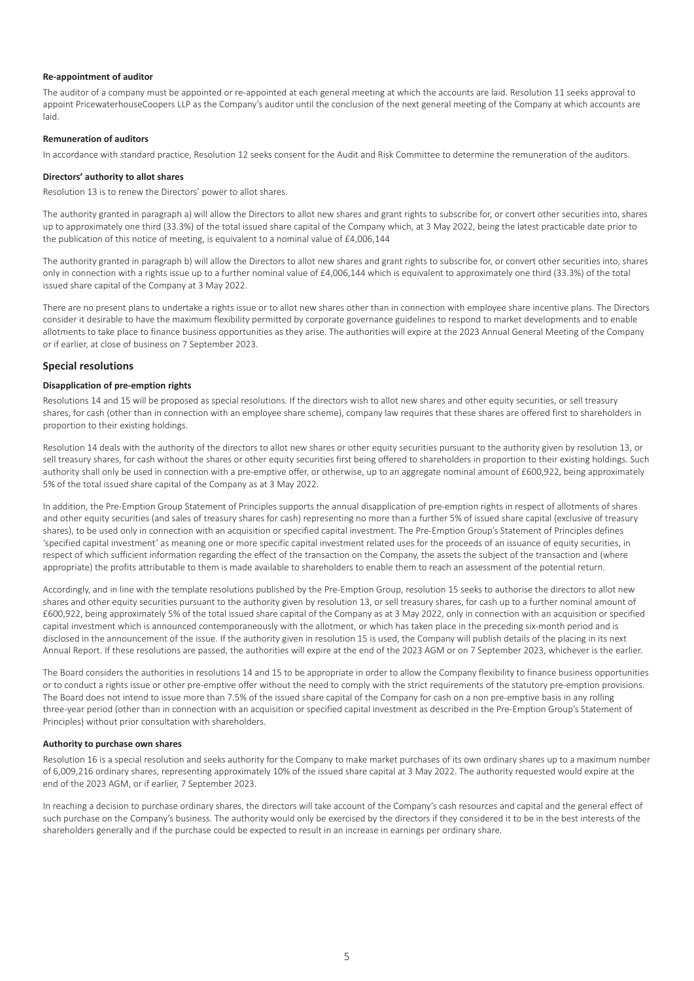#### **Re-appointment of auditor**

The auditor of a company must be appointed or re-appointed at each general meeting at which the accounts are laid. Resolution 11 seeks approval to appoint PricewaterhouseCoopers LLP as the Company's auditor until the conclusion of the next general meeting of the Company at which accounts are laid.

### **Remuneration of auditors**

In accordance with standard practice, Resolution 12 seeks consent for the Audit and Risk Committee to determine the remuneration of the auditors.

### **Directors' authority to allot shares**

Resolution 13 is to renew the Directors' power to allot shares.

The authority granted in paragraph a) will allow the Directors to allot new shares and grant rights to subscribe for, or convert other securities into, shares up to approximately one third (33.3%) of the total issued share capital of the Company which, at 3 May 2022, being the latest practicable date prior to the publication of this notice of meeting, is equivalent to a nominal value of £4,006,144

The authority granted in paragraph b) will allow the Directors to allot new shares and grant rights to subscribe for, or convert other securities into, shares only in connection with a rights issue up to a further nominal value of £4,006,144 which is equivalent to approximately one third (33.3%) of the total issued share capital of the Company at 3 May 2022.

There are no present plans to undertake a rights issue or to allot new shares other than in connection with employee share incentive plans. The Directors consider it desirable to have the maximum flexibility permitted by corporate governance guidelines to respond to market developments and to enable allotments to take place to finance business opportunities as they arise. The authorities will expire at the 2023 Annual General Meeting of the Company or if earlier, at close of business on 7 September 2023.

### **Special resolutions**

### **Disapplication of pre-emption rights**

Resolutions 14 and 15 will be proposed as special resolutions. If the directors wish to allot new shares and other equity securities, or sell treasury shares, for cash (other than in connection with an employee share scheme), company law requires that these shares are offered first to shareholders in proportion to their existing holdings.

Resolution 14 deals with the authority of the directors to allot new shares or other equity securities pursuant to the authority given by resolution 13, or sell treasury shares, for cash without the shares or other equity securities first being offered to shareholders in proportion to their existing holdings. Such authority shall only be used in connection with a pre-emptive offer, or otherwise, up to an aggregate nominal amount of £600,922, being approximately 5% of the total issued share capital of the Company as at 3 May 2022.

In addition, the Pre-Emption Group Statement of Principles supports the annual disapplication of pre-emption rights in respect of allotments of shares and other equity securities (and sales of treasury shares for cash) representing no more than a further 5% of issued share capital (exclusive of treasury shares), to be used only in connection with an acquisition or specified capital investment. The Pre-Emption Group's Statement of Principles defines 'specified capital investment' as meaning one or more specific capital investment related uses for the proceeds of an issuance of equity securities, in respect of which sufficient information regarding the effect of the transaction on the Company, the assets the subject of the transaction and (where appropriate) the profits attributable to them is made available to shareholders to enable them to reach an assessment of the potential return.

Accordingly, and in line with the template resolutions published by the Pre-Emption Group, resolution 15 seeks to authorise the directors to allot new shares and other equity securities pursuant to the authority given by resolution 13, or sell treasury shares, for cash up to a further nominal amount of £600,922, being approximately 5% of the total issued share capital of the Company as at 3 May 2022, only in connection with an acquisition or specified capital investment which is announced contemporaneously with the allotment, or which has taken place in the preceding six-month period and is disclosed in the announcement of the issue. If the authority given in resolution 15 is used, the Company will publish details of the placing in its next Annual Report. If these resolutions are passed, the authorities will expire at the end of the 2023 AGM or on 7 September 2023, whichever is the earlier.

The Board considers the authorities in resolutions 14 and 15 to be appropriate in order to allow the Company flexibility to finance business opportunities or to conduct a rights issue or other pre-emptive offer without the need to comply with the strict requirements of the statutory pre-emption provisions. The Board does not intend to issue more than 7.5% of the issued share capital of the Company for cash on a non pre-emptive basis in any rolling three-year period (other than in connection with an acquisition or specified capital investment as described in the Pre-Emption Group's Statement of Principles) without prior consultation with shareholders.

### **Authority to purchase own shares**

Resolution 16 is a special resolution and seeks authority for the Company to make market purchases of its own ordinary shares up to a maximum number of 6,009,216 ordinary shares, representing approximately 10% of the issued share capital at 3 May 2022. The authority requested would expire at the end of the 2023 AGM, or if earlier, 7 September 2023.

In reaching a decision to purchase ordinary shares, the directors will take account of the Company's cash resources and capital and the general effect of such purchase on the Company's business. The authority would only be exercised by the directors if they considered it to be in the best interests of the shareholders generally and if the purchase could be expected to result in an increase in earnings per ordinary share.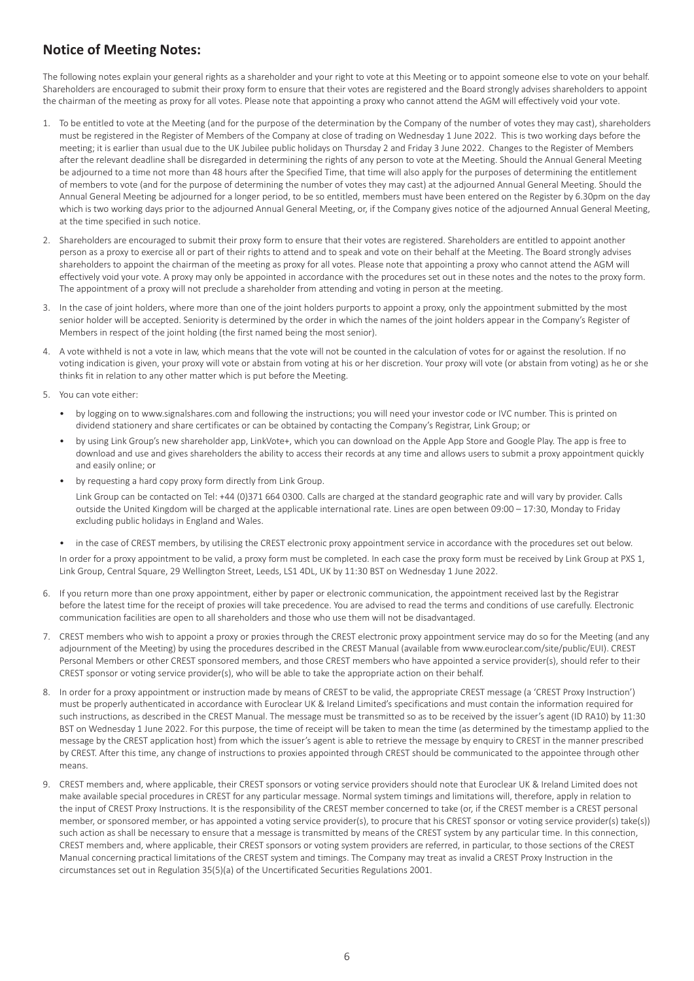### **Notice of Meeting Notes:**

The following notes explain your general rights as a shareholder and your right to vote at this Meeting or to appoint someone else to vote on your behalf. Shareholders are encouraged to submit their proxy form to ensure that their votes are registered and the Board strongly advises shareholders to appoint the chairman of the meeting as proxy for all votes. Please note that appointing a proxy who cannot attend the AGM will effectively void your vote.

- 1. To be entitled to vote at the Meeting (and for the purpose of the determination by the Company of the number of votes they may cast), shareholders must be registered in the Register of Members of the Company at close of trading on Wednesday 1 June 2022. This is two working days before the meeting; it is earlier than usual due to the UK Jubilee public holidays on Thursday 2 and Friday 3 June 2022. Changes to the Register of Members after the relevant deadline shall be disregarded in determining the rights of any person to vote at the Meeting. Should the Annual General Meeting be adjourned to a time not more than 48 hours after the Specified Time, that time will also apply for the purposes of determining the entitlement of members to vote (and for the purpose of determining the number of votes they may cast) at the adjourned Annual General Meeting. Should the Annual General Meeting be adjourned for a longer period, to be so entitled, members must have been entered on the Register by 6.30pm on the day which is two working days prior to the adjourned Annual General Meeting, or, if the Company gives notice of the adjourned Annual General Meeting, at the time specified in such notice.
- 2. Shareholders are encouraged to submit their proxy form to ensure that their votes are registered. Shareholders are entitled to appoint another person as a proxy to exercise all or part of their rights to attend and to speak and vote on their behalf at the Meeting. The Board strongly advises shareholders to appoint the chairman of the meeting as proxy for all votes. Please note that appointing a proxy who cannot attend the AGM will effectively void your vote. A proxy may only be appointed in accordance with the procedures set out in these notes and the notes to the proxy form. The appointment of a proxy will not preclude a shareholder from attending and voting in person at the meeting.
- 3. In the case of joint holders, where more than one of the joint holders purports to appoint a proxy, only the appointment submitted by the most senior holder will be accepted. Seniority is determined by the order in which the names of the joint holders appear in the Company's Register of Members in respect of the joint holding (the first named being the most senior).
- 4. A vote withheld is not a vote in law, which means that the vote will not be counted in the calculation of votes for or against the resolution. If no voting indication is given, your proxy will vote or abstain from voting at his or her discretion. Your proxy will vote (or abstain from voting) as he or she thinks fit in relation to any other matter which is put before the Meeting.
- 5. You can vote either:
	- by logging on to www.signalshares.com and following the instructions; you will need your investor code or IVC number. This is printed on dividend stationery and share certificates or can be obtained by contacting the Company's Registrar, Link Group; or
	- by using Link Group's new shareholder app, LinkVote+, which you can download on the Apple App Store and Google Play. The app is free to download and use and gives shareholders the ability to access their records at any time and allows users to submit a proxy appointment quickly and easily online; or
	- by requesting a hard copy proxy form directly from Link Group. Link Group can be contacted on Tel: +44 (0)371 664 0300. Calls are charged at the standard geographic rate and will vary by provider. Calls outside the United Kingdom will be charged at the applicable international rate. Lines are open between 09:00 – 17:30, Monday to Friday excluding public holidays in England and Wales.
	- in the case of CREST members, by utilising the CREST electronic proxy appointment service in accordance with the procedures set out below. In order for a proxy appointment to be valid, a proxy form must be completed. In each case the proxy form must be received by Link Group at PXS 1, Link Group, Central Square, 29 Wellington Street, Leeds, LS1 4DL, UK by 11:30 BST on Wednesday 1 June 2022.
- 6. If you return more than one proxy appointment, either by paper or electronic communication, the appointment received last by the Registrar before the latest time for the receipt of proxies will take precedence. You are advised to read the terms and conditions of use carefully. Electronic communication facilities are open to all shareholders and those who use them will not be disadvantaged.
- 7. CREST members who wish to appoint a proxy or proxies through the CREST electronic proxy appointment service may do so for the Meeting (and any adjournment of the Meeting) by using the procedures described in the CREST Manual (available from www.euroclear.com/site/public/EUI). CREST Personal Members or other CREST sponsored members, and those CREST members who have appointed a service provider(s), should refer to their CREST sponsor or voting service provider(s), who will be able to take the appropriate action on their behalf.
- 8. In order for a proxy appointment or instruction made by means of CREST to be valid, the appropriate CREST message (a 'CREST Proxy Instruction') must be properly authenticated in accordance with Euroclear UK & Ireland Limited's specifications and must contain the information required for such instructions, as described in the CREST Manual. The message must be transmitted so as to be received by the issuer's agent (ID RA10) by 11:30 BST on Wednesday 1 June 2022. For this purpose, the time of receipt will be taken to mean the time (as determined by the timestamp applied to the message by the CREST application host) from which the issuer's agent is able to retrieve the message by enquiry to CREST in the manner prescribed by CREST. After this time, any change of instructions to proxies appointed through CREST should be communicated to the appointee through other means.
- 9. CREST members and, where applicable, their CREST sponsors or voting service providers should note that Euroclear UK & Ireland Limited does not make available special procedures in CREST for any particular message. Normal system timings and limitations will, therefore, apply in relation to the input of CREST Proxy Instructions. It is the responsibility of the CREST member concerned to take (or, if the CREST member is a CREST personal member, or sponsored member, or has appointed a voting service provider(s), to procure that his CREST sponsor or voting service provider(s) take(s)) such action as shall be necessary to ensure that a message is transmitted by means of the CREST system by any particular time. In this connection, CREST members and, where applicable, their CREST sponsors or voting system providers are referred, in particular, to those sections of the CREST Manual concerning practical limitations of the CREST system and timings. The Company may treat as invalid a CREST Proxy Instruction in the circumstances set out in Regulation 35(5)(a) of the Uncertificated Securities Regulations 2001.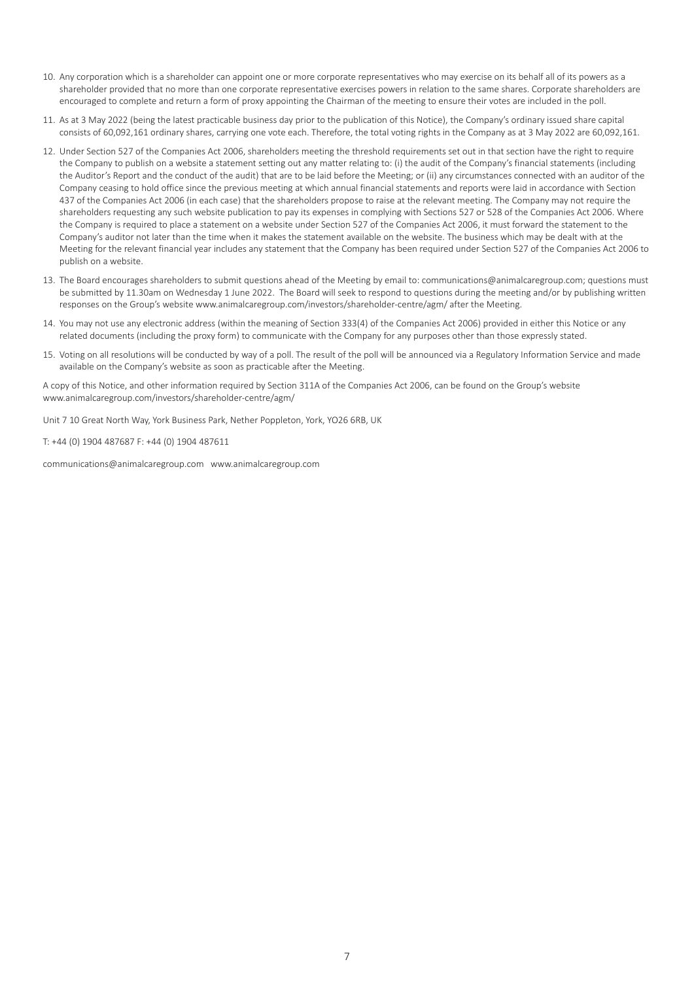- 10. Any corporation which is a shareholder can appoint one or more corporate representatives who may exercise on its behalf all of its powers as a shareholder provided that no more than one corporate representative exercises powers in relation to the same shares. Corporate shareholders are encouraged to complete and return a form of proxy appointing the Chairman of the meeting to ensure their votes are included in the poll.
- 11. As at 3 May 2022 (being the latest practicable business day prior to the publication of this Notice), the Company's ordinary issued share capital consists of 60,092,161 ordinary shares, carrying one vote each. Therefore, the total voting rights in the Company as at 3 May 2022 are 60,092,161.
- 12. Under Section 527 of the Companies Act 2006, shareholders meeting the threshold requirements set out in that section have the right to require the Company to publish on a website a statement setting out any matter relating to: (i) the audit of the Company's financial statements (including the Auditor's Report and the conduct of the audit) that are to be laid before the Meeting; or (ii) any circumstances connected with an auditor of the Company ceasing to hold office since the previous meeting at which annual financial statements and reports were laid in accordance with Section 437 of the Companies Act 2006 (in each case) that the shareholders propose to raise at the relevant meeting. The Company may not require the shareholders requesting any such website publication to pay its expenses in complying with Sections 527 or 528 of the Companies Act 2006. Where the Company is required to place a statement on a website under Section 527 of the Companies Act 2006, it must forward the statement to the Company's auditor not later than the time when it makes the statement available on the website. The business which may be dealt with at the Meeting for the relevant financial year includes any statement that the Company has been required under Section 527 of the Companies Act 2006 to publish on a website.
- 13. The Board encourages shareholders to submit questions ahead of the Meeting by email to: communications@animalcaregroup.com; questions must be submitted by 11.30am on Wednesday 1 June 2022. The Board will seek to respond to questions during the meeting and/or by publishing written responses on the Group's website www.animalcaregroup.com/investors/shareholder-centre/agm/ after the Meeting.
- 14. You may not use any electronic address (within the meaning of Section 333(4) of the Companies Act 2006) provided in either this Notice or any related documents (including the proxy form) to communicate with the Company for any purposes other than those expressly stated.
- 15. Voting on all resolutions will be conducted by way of a poll. The result of the poll will be announced via a Regulatory Information Service and made available on the Company's website as soon as practicable after the Meeting.

A copy of this Notice, and other information required by Section 311A of the Companies Act 2006, can be found on the Group's website www.animalcaregroup.com/investors/shareholder-centre/agm/

Unit 7 10 Great North Way, York Business Park, Nether Poppleton, York, YO26 6RB, UK

T: +44 (0) 1904 487687 F: +44 (0) 1904 487611

communications@animalcaregroup.com www.animalcaregroup.com